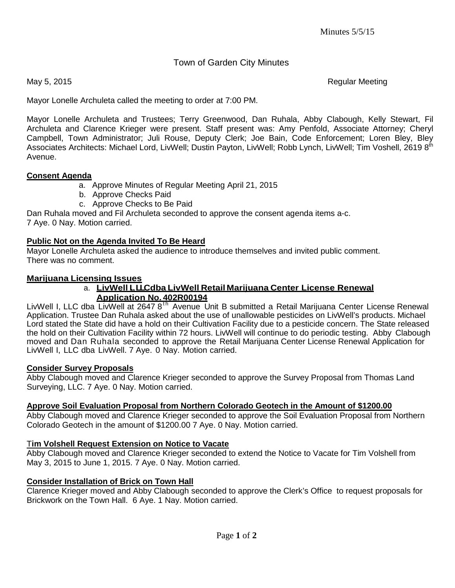# Town of Garden City Minutes

May 5, 2015 **Regular Meeting** 

Mayor Lonelle Archuleta called the meeting to order at 7:00 PM.

Mayor Lonelle Archuleta and Trustees; Terry Greenwood, Dan Ruhala, Abby Clabough, Kelly Stewart, Fil Archuleta and Clarence Krieger were present. Staff present was: Amy Penfold, Associate Attorney; Cheryl Campbell, Town Administrator; Juli Rouse, Deputy Clerk; Joe Bain, Code Enforcement; Loren Bley, Bley Associates Architects: Michael Lord, LivWell; Dustin Payton, LivWell; Robb Lynch, LivWell; Tim Voshell, 2619 8<sup>th</sup> Avenue.

#### **Consent Agenda**

- a. Approve Minutes of Regular Meeting April 21, 2015
- b. Approve Checks Paid
- c. Approve Checks to Be Paid

Dan Ruhala moved and Fil Archuleta seconded to approve the consent agenda items a-c. 7 Aye. 0 Nay. Motion carried.

## **Public Not on the Agenda Invited To Be Heard**

Mayor Lonelle Archuleta asked the audience to introduce themselves and invited public comment. There was no comment.

## **Marijuana Licensing Issues**

#### a. **LivWell I, , LLCdba LivWell Retail Marijuana Center License Renewal Application No. 402R00194**

LivWell I, LLC dba LivWell at 2647 8<sup>th</sup> Avenue Unit B submitted a Retail Marijuana Center License Renewal Application. Trustee Dan Ruhala asked about the use of unallowable pesticides on LivWell's products. Michael Lord stated the State did have a hold on their Cultivation Facility due to a pesticide concern. The State released the hold on their Cultivation Facility within 72 hours. LivWell will continue to do periodic testing. Abby Clabough moved and Dan Ruhala seconded to approve the Retail Marijuana Center License Renewal Application for LivWell I, LLC dba LivWell. 7 Aye. 0 Nay. Motion carried.

#### **Consider Survey Proposals**

Abby Clabough moved and Clarence Krieger seconded to approve the Survey Proposal from Thomas Land Surveying, LLC. 7 Aye. 0 Nay. Motion carried.

## **Approve Soil Evaluation Proposal from Northern Colorado Geotech in the Amount of \$1200.00**

Abby Clabough moved and Clarence Krieger seconded to approve the Soil Evaluation Proposal from Northern Colorado Geotech in the amount of \$1200.00 7 Aye. 0 Nay. Motion carried.

## T**im Volshell Request Extension on Notice to Vacate**

Abby Clabough moved and Clarence Krieger seconded to extend the Notice to Vacate for Tim Volshell from May 3, 2015 to June 1, 2015. 7 Aye. 0 Nay. Motion carried.

## **Consider Installation of Brick on Town Hall**

Clarence Krieger moved and Abby Clabough seconded to approve the Clerk's Office to request proposals for Brickwork on the Town Hall. 6 Aye. 1 Nay. Motion carried.